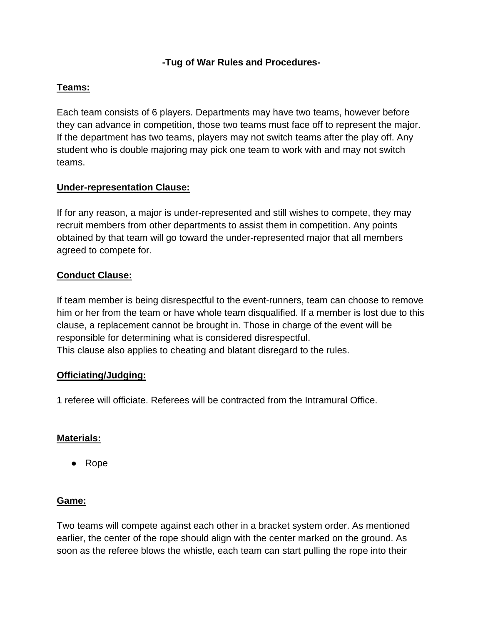## **-Tug of War Rules and Procedures-**

## **Teams:**

Each team consists of 6 players. Departments may have two teams, however before they can advance in competition, those two teams must face off to represent the major. If the department has two teams, players may not switch teams after the play off. Any student who is double majoring may pick one team to work with and may not switch teams.

# **Under-representation Clause:**

If for any reason, a major is under-represented and still wishes to compete, they may recruit members from other departments to assist them in competition. Any points obtained by that team will go toward the under-represented major that all members agreed to compete for.

# **Conduct Clause:**

If team member is being disrespectful to the event-runners, team can choose to remove him or her from the team or have whole team disqualified. If a member is lost due to this clause, a replacement cannot be brought in. Those in charge of the event will be responsible for determining what is considered disrespectful. This clause also applies to cheating and blatant disregard to the rules.

#### **Officiating/Judging:**

1 referee will officiate. Referees will be contracted from the Intramural Office.

#### **Materials:**

● Rope

#### **Game:**

Two teams will compete against each other in a bracket system order. As mentioned earlier, the center of the rope should align with the center marked on the ground. As soon as the referee blows the whistle, each team can start pulling the rope into their